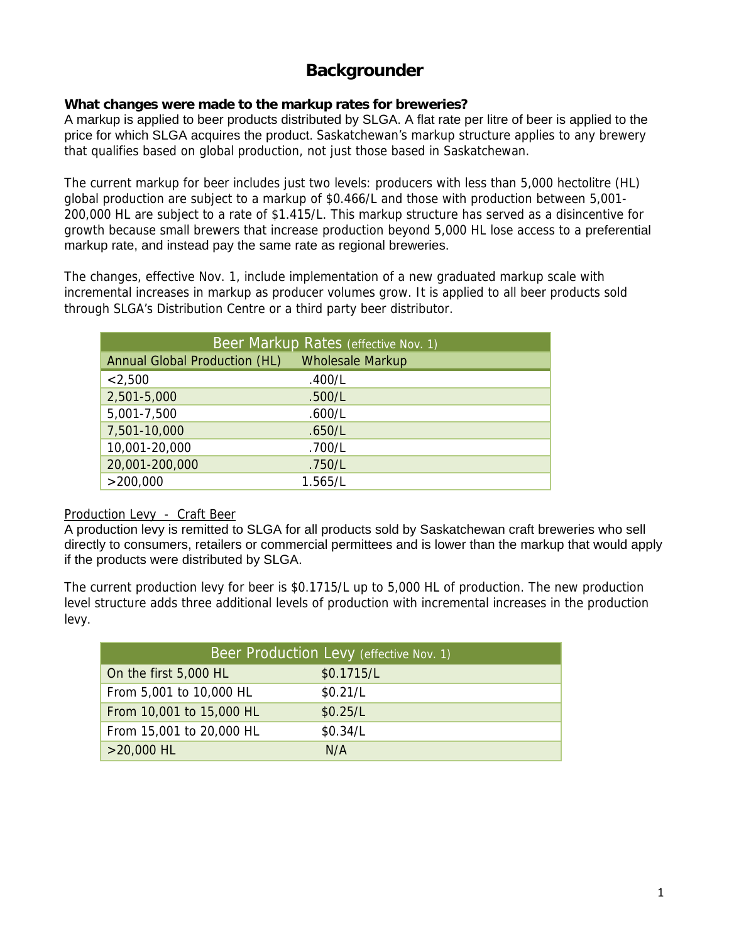# **Backgrounder**

## **What changes were made to the markup rates for breweries?**

A markup is applied to beer products distributed by SLGA. A flat rate per litre of beer is applied to the price for which SLGA acquires the product. Saskatchewan's markup structure applies to any brewery that qualifies based on global production, not just those based in Saskatchewan.

The current markup for beer includes just two levels: producers with less than 5,000 hectolitre (HL) global production are subject to a markup of \$0.466/L and those with production between 5,001- 200,000 HL are subject to a rate of \$1.415/L. This markup structure has served as a disincentive for growth because small brewers that increase production beyond 5,000 HL lose access to a preferential markup rate, and instead pay the same rate as regional breweries.

The changes, effective Nov. 1, include implementation of a new graduated markup scale with incremental increases in markup as producer volumes grow. It is applied to all beer products sold through SLGA's Distribution Centre or a third party beer distributor.

| Beer Markup Rates (effective Nov. 1) |                         |  |
|--------------------------------------|-------------------------|--|
| Annual Global Production (HL)        | <b>Wholesale Markup</b> |  |
| < 2,500                              | .400/L                  |  |
| 2,501-5,000                          | .500/L                  |  |
| 5,001-7,500                          | .600/L                  |  |
| 7,501-10,000                         | .650/L                  |  |
| 10,001-20,000                        | .700/L                  |  |
| 20,001-200,000                       | .750/L                  |  |
| >200,000                             | 1.565/L                 |  |

### Production Levy - Craft Beer

A production levy is remitted to SLGA for all products sold by Saskatchewan craft breweries who sell directly to consumers, retailers or commercial permittees and is lower than the markup that would apply if the products were distributed by SLGA.

The current production levy for beer is \$0.1715/L up to 5,000 HL of production. The new production level structure adds three additional levels of production with incremental increases in the production levy.

| Beer Production Levy (effective Nov. 1) |            |  |
|-----------------------------------------|------------|--|
| On the first 5,000 HL                   | \$0.1715/L |  |
| From 5,001 to 10,000 HL                 | \$0.21/L   |  |
| From 10,001 to 15,000 HL                | \$0.25/L   |  |
| From 15,001 to 20,000 HL                | \$0.34/L   |  |
| $>20,000$ HL                            | N/A        |  |